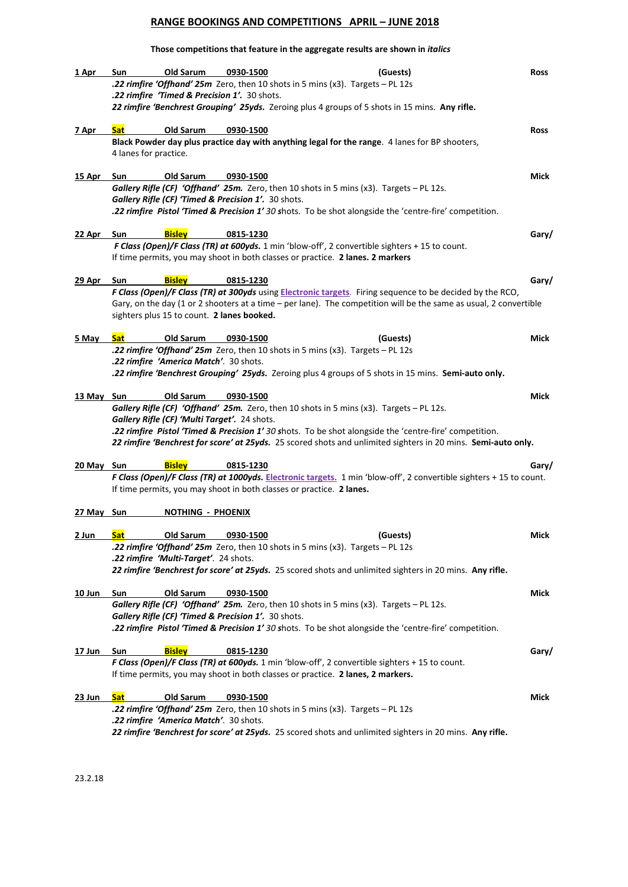# **RANGE BOOKINGS AND COMPETITIONS APRIL – JUNE 2018**

## **Those competitions that feature in the aggregate results are shown in** *italics*

| 1 Apr          | Sun<br>.22 rimfire 'Timed & Precision 1'. 30 shots.        | Old Sarum                | 0930-1500<br><b>22 rimfire 'Offhand' 25m</b> Zero, then 10 shots in 5 mins (x3). Targets - PL 12s.   | (Guests)                                                                                                                                                                                                                       | <b>Ross</b> |
|----------------|------------------------------------------------------------|--------------------------|------------------------------------------------------------------------------------------------------|--------------------------------------------------------------------------------------------------------------------------------------------------------------------------------------------------------------------------------|-------------|
|                |                                                            |                          |                                                                                                      | 22 rimfire 'Benchrest Grouping' 25yds. Zeroing plus 4 groups of 5 shots in 15 mins. Any rifle.                                                                                                                                 |             |
| 7 Apr          | <b>Sat</b><br>4 lanes for practice.                        | Old Sarum                | 0930-1500                                                                                            | Black Powder day plus practice day with anything legal for the range. 4 lanes for BP shooters,                                                                                                                                 | <b>Ross</b> |
| <u> 15 Apr</u> | Sun<br>Gallery Rifle (CF) 'Timed & Precision 1'. 30 shots. | Old Sarum                | 0930-1500<br>Gallery Rifle (CF) 'Offhand' 25m. Zero, then 10 shots in 5 mins (x3). Targets - PL 12s. | .22 rimfire Pistol 'Timed & Precision 1' 30 shots. To be shot alongside the 'centre-fire' competition.                                                                                                                         | Mick        |
| 22 Apr         | <b>Bisley</b><br>Sun                                       |                          | 0815-1230<br>If time permits, you may shoot in both classes or practice. 2 lanes. 2 markers          | F Class (Open)/F Class (TR) at 600yds. 1 min 'blow-off', 2 convertible sighters + 15 to count.                                                                                                                                 | Gary/       |
| 29 Apr         | <b>Bisley</b><br>Sun                                       |                          | 0815-1230                                                                                            |                                                                                                                                                                                                                                | Gary/       |
|                | sighters plus 15 to count. 2 lanes booked.                 |                          |                                                                                                      | F Class (Open)/F Class (TR) at 300yds using Electronic targets. Firing sequence to be decided by the RCO,<br>Gary, on the day (1 or 2 shooters at a time - per lane). The competition will be the same as usual, 2 convertible |             |
| 5 May          | <b>Sat</b>                                                 | Old Sarum                | 0930-1500                                                                                            | (Guests)                                                                                                                                                                                                                       | Mick        |
|                | .22 rimfire 'America Match'. 30 shots.                     |                          | <b>22 rimfire 'Offhand' 25m</b> Zero, then 10 shots in 5 mins (x3). Targets - PL 12s                 | .22 rimfire 'Benchrest Grouping' 25yds. Zeroing plus 4 groups of 5 shots in 15 mins. Semi-auto only.                                                                                                                           |             |
| 13 May Sun     | Gallery Rifle (CF) 'Multi Target'. 24 shots.               | Old Sarum                | 0930-1500<br>Gallery Rifle (CF) 'Offhand' 25m. Zero, then 10 shots in 5 mins (x3). Targets - PL 12s. | .22 rimfire Pistol 'Timed & Precision 1' 30 shots. To be shot alongside the 'centre-fire' competition.<br>22 rimfire 'Benchrest for score' at 25yds. 25 scored shots and unlimited sighters in 20 mins. Semi-auto only.        | Mick        |
| 20 May Sun     | <b>Bisley</b>                                              |                          | 0815-1230                                                                                            |                                                                                                                                                                                                                                | Gary/       |
|                |                                                            |                          | If time permits, you may shoot in both classes or practice. 2 lanes.                                 | F Class (Open)/F Class (TR) at 1000yds. Electronic targets. 1 min 'blow-off', 2 convertible sighters + 15 to count.                                                                                                            |             |
| 27 May Sun     |                                                            | <u>NOTHING - PHOENIX</u> |                                                                                                      |                                                                                                                                                                                                                                |             |
| 2 Jun          | .22 rimfire 'Multi-Target'. 24 shots.                      | Old Sarum                | 0930-1500<br>.22 rimfire 'Offhand' 25m Zero, then 10 shots in 5 mins (x3). Targets - PL 12s          | (Guests)<br>22 rimfire 'Benchrest for score' at 25yds. 25 scored shots and unlimited sighters in 20 mins. Any rifle.                                                                                                           | Mick        |
| 10 Jun         | Sun<br>Gallery Rifle (CF) 'Timed & Precision 1'. 30 shots. | Old Sarum                | 0930-1500<br>Gallery Rifle (CF) 'Offhand' 25m. Zero, then 10 shots in 5 mins (x3). Targets - PL 12s. | .22 rimfire Pistol 'Timed & Precision 1' 30 shots. To be shot alongside the 'centre-fire' competition.                                                                                                                         | Mick        |
| 17 Jun         | <b>Bisley</b><br>Sun                                       |                          | 0815-1230                                                                                            |                                                                                                                                                                                                                                | Gary/       |
|                |                                                            |                          | If time permits, you may shoot in both classes or practice. 2 lanes, 2 markers.                      | F Class (Open)/F Class (TR) at 600yds. 1 min 'blow-off', 2 convertible sighters + 15 to count.                                                                                                                                 |             |
| 23 Jun         | <b>Sat</b><br>.22 rimfire 'America Match'. 30 shots.       | Old Sarum                | 0930-1500<br>.22 rimfire 'Offhand' 25m Zero, then 10 shots in 5 mins (x3). Targets - PL 12s          | 22 rimfire 'Benchrest for score' at 25yds. 25 scored shots and unlimited sighters in 20 mins. Any rifle.                                                                                                                       | Mick        |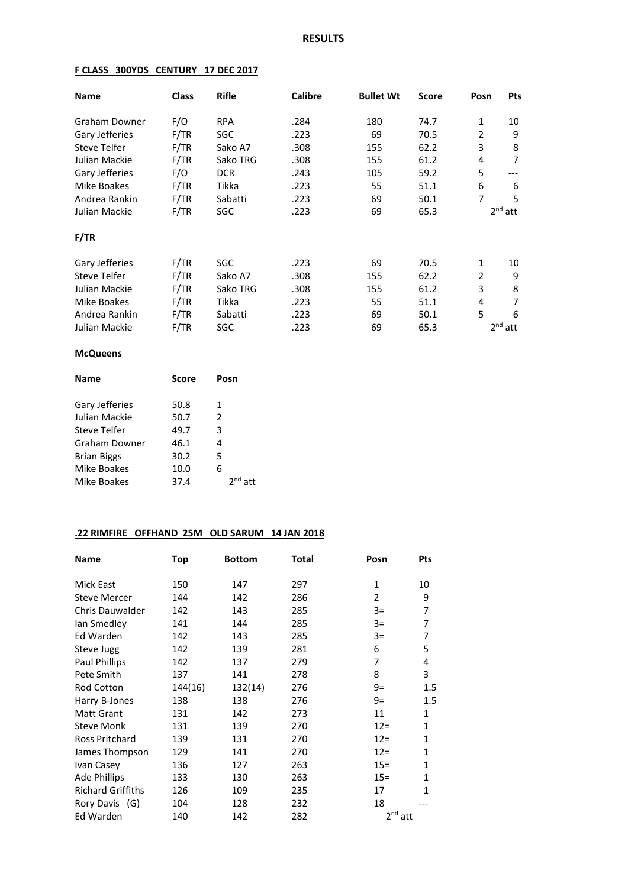## **F CLASS 300YDS CENTURY 17 DEC 2017**

| <b>Name</b>         | <b>Class</b> | <b>Rifle</b> | <b>Calibre</b> | <b>Bullet Wt</b> | <b>Score</b> | Posn           | <b>Pts</b> |
|---------------------|--------------|--------------|----------------|------------------|--------------|----------------|------------|
| Graham Downer       | F/O          | <b>RPA</b>   | .284           | 180              | 74.7         | $\mathbf{1}$   | 10         |
| Gary Jefferies      | F/TR         | SGC          | .223           | 69               | 70.5         | $\overline{2}$ | 9          |
| <b>Steve Telfer</b> | F/TR         | Sako A7      | .308           | 155              | 62.2         | 3              | 8          |
| Julian Mackie       | F/TR         | Sako TRG     | .308           | 155              | 61.2         | 4              | 7          |
| Gary Jefferies      | F/O          | <b>DCR</b>   | .243           | 105              | 59.2         | 5              |            |
| Mike Boakes         | F/TR         | Tikka        | .223           | 55               | 51.1         | 6              | 6          |
| Andrea Rankin       | F/TR         | Sabatti      | .223           | 69               | 50.1         | 7              | 5          |
| Julian Mackie       | F/TR         | SGC          | .223           | 69               | 65.3         |                | $2nd$ att  |
| F/TR                |              |              |                |                  |              |                |            |
| Gary Jefferies      | F/TR         | SGC          | .223           | 69               | 70.5         | $\mathbf{1}$   | 10         |
| <b>Steve Telfer</b> | F/TR         | Sako A7      | .308           | 155              | 62.2         | $\overline{2}$ | 9          |
| Julian Mackie       | F/TR         | Sako TRG     | .308           | 155              | 61.2         | 3              | 8          |
| Mike Boakes         | F/TR         | Tikka        | .223           | 55               | 51.1         | 4              | 7          |
| Andrea Rankin       | F/TR         | Sabatti      | .223           | 69               | 50.1         | 5              | 6          |
| Julian Mackie       | F/TR         | SGC          | .223           | 69               | 65.3         |                | $2nd$ att  |

### **McQueens**

| Name                  | <b>Score</b> | Posn      |  |  |
|-----------------------|--------------|-----------|--|--|
| <b>Gary Jefferies</b> | 50.8         | 1         |  |  |
| Julian Mackie         | 50.7         | 2         |  |  |
| Steve Telfer          | 49.7         | 3         |  |  |
| Graham Downer         | 46.1         | 4         |  |  |
| <b>Brian Biggs</b>    | 30.2         | 5         |  |  |
| Mike Boakes           | 10.0         | 6         |  |  |
| Mike Boakes           | 37.4         | $2nd$ att |  |  |

## **.22 RIMFIRE OFFHAND 25M OLD SARUM 14 JAN 2018**

| <b>Name</b>              | Top     | <b>Bottom</b> | <b>Total</b> | Posn           | Pts          |
|--------------------------|---------|---------------|--------------|----------------|--------------|
| Mick East                | 150     | 147           | 297          | $\mathbf{1}$   | 10           |
| <b>Steve Mercer</b>      | 144     | 142           | 286          | $\overline{2}$ | 9            |
| <b>Chris Dauwalder</b>   | 142     | 143           | 285          | $3=$           | 7            |
| lan Smedley              | 141     | 144           | 285          | $3=$           | 7            |
| Ed Warden                | 142     | 143           | 285          | $3=$           | 7            |
| Steve Jugg               | 142     | 139           | 281          | 6              | 5            |
| Paul Phillips            | 142     | 137           | 279          | 7              | 4            |
| Pete Smith               | 137     | 141           | 278          | 8              | 3            |
| Rod Cotton               | 144(16) | 132(14)       | 276          | $9=$           | 1.5          |
| Harry B-Jones            | 138     | 138           | 276          | $9=$           | 1.5          |
| <b>Matt Grant</b>        | 131     | 142           | 273          | 11             | $\mathbf{1}$ |
| <b>Steve Monk</b>        | 131     | 139           | 270          | $12 =$         | $\mathbf{1}$ |
| Ross Pritchard           | 139     | 131           | 270          | $12 =$         | 1            |
| James Thompson           | 129     | 141           | 270          | $12 =$         | $\mathbf{1}$ |
| Ivan Casey               | 136     | 127           | 263          | $15 =$         | $\mathbf{1}$ |
| <b>Ade Phillips</b>      | 133     | 130           | 263          | $15 =$         | 1            |
| <b>Richard Griffiths</b> | 126     | 109           | 235          | 17             | $\mathbf{1}$ |
| Rory Davis (G)           | 104     | 128           | 232          | 18             |              |
| Ed Warden                | 140     | 142           | 282          | $2nd$ att      |              |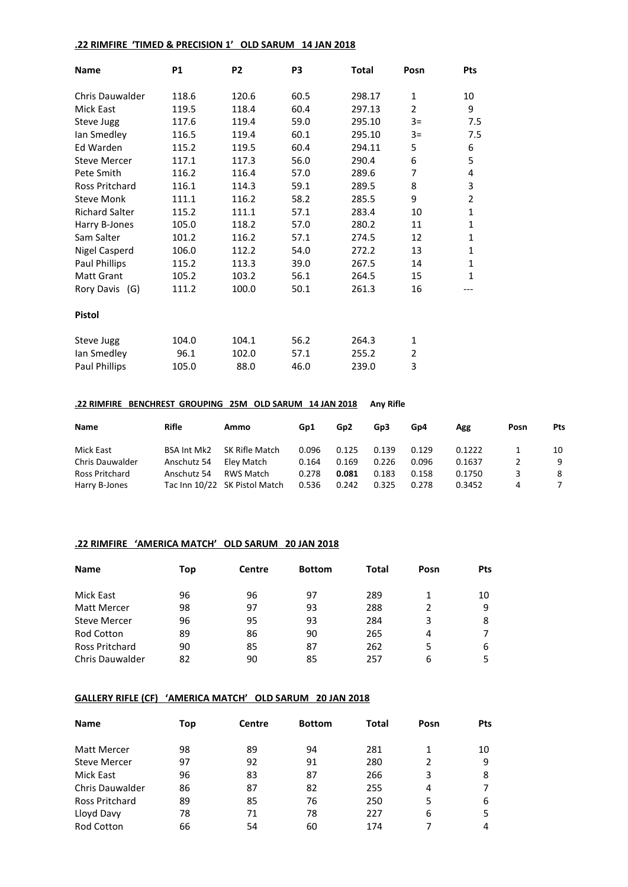## **.22 RIMFIRE 'TIMED & PRECISION 1' OLD SARUM 14 JAN 2018**

| <b>Name</b>            | <b>P1</b> | P <sub>2</sub> | P <sub>3</sub> | <b>Total</b> | Posn           | <b>Pts</b>   |
|------------------------|-----------|----------------|----------------|--------------|----------------|--------------|
| <b>Chris Dauwalder</b> | 118.6     | 120.6          | 60.5           | 298.17       | 1              | 10           |
| <b>Mick East</b>       | 119.5     | 118.4          | 60.4           | 297.13       | $\overline{2}$ | 9            |
| Steve Jugg             | 117.6     | 119.4          | 59.0           | 295.10       | $3=$           | 7.5          |
| Ian Smedley            | 116.5     | 119.4          | 60.1           | 295.10       | $3=$           | 7.5          |
| Ed Warden              | 115.2     | 119.5          | 60.4           | 294.11       | 5              | 6            |
| <b>Steve Mercer</b>    | 117.1     | 117.3          | 56.0           | 290.4        | 6              | 5            |
| Pete Smith             | 116.2     | 116.4          | 57.0           | 289.6        | 7              | 4            |
| Ross Pritchard         | 116.1     | 114.3          | 59.1           | 289.5        | 8              | 3            |
| <b>Steve Monk</b>      | 111.1     | 116.2          | 58.2           | 285.5        | 9              | 2            |
| <b>Richard Salter</b>  | 115.2     | 111.1          | 57.1           | 283.4        | 10             | $\mathbf{1}$ |
| Harry B-Jones          | 105.0     | 118.2          | 57.0           | 280.2        | 11             | 1            |
| Sam Salter             | 101.2     | 116.2          | 57.1           | 274.5        | 12             | 1            |
| <b>Nigel Casperd</b>   | 106.0     | 112.2          | 54.0           | 272.2        | 13             | 1            |
| Paul Phillips          | 115.2     | 113.3          | 39.0           | 267.5        | 14             | 1            |
| <b>Matt Grant</b>      | 105.2     | 103.2          | 56.1           | 264.5        | 15             | 1            |
| Rory Davis (G)         | 111.2     | 100.0          | 50.1           | 261.3        | 16             |              |
| <b>Pistol</b>          |           |                |                |              |                |              |
| Steve Jugg             | 104.0     | 104.1          | 56.2           | 264.3        | $\mathbf{1}$   |              |
| Ian Smedley            | 96.1      | 102.0          | 57.1           | 255.2        | 2              |              |
| <b>Paul Phillips</b>   | 105.0     | 88.0           | 46.0           | 239.0        | 3              |              |

### **.22 RIMFIRE BENCHREST GROUPING 25M OLD SARUM 14 JAN 2018 Any Rifle**

| <b>Name</b>            | Rifle       | Ammo                          | Gp1   | G <sub>p</sub> 2 | Gp3   | Gp4   | Agg    | Posn | <b>Pts</b> |
|------------------------|-------------|-------------------------------|-------|------------------|-------|-------|--------|------|------------|
| Mick East              | BSA Int Mk2 | SK Rifle Match                | 0.096 | 0.125            | 0.139 | 0.129 | 0.1222 |      | 10         |
| <b>Chris Dauwalder</b> | Anschutz 54 | Elev Match                    | 0.164 | 0.169            | 0.226 | 0.096 | 0.1637 |      | 9          |
| Ross Pritchard         | Anschutz 54 | RWS Match                     | 0.278 | 0.081            | 0.183 | 0.158 | 0.1750 | 3    | -8         |
| Harry B-Jones          |             | Tac Inn 10/22 SK Pistol Match | 0.536 | 0.242            | 0.325 | 0.278 | 0.3452 | 4    |            |

### **.22 RIMFIRE 'AMERICA MATCH' OLD SARUM 20 JAN 2018**

| <b>Name</b>            | Top | Centre | <b>Bottom</b> | Total | Posn | <b>Pts</b> |
|------------------------|-----|--------|---------------|-------|------|------------|
| Mick East              | 96  | 96     | 97            | 289   |      | 10         |
| <b>Matt Mercer</b>     | 98  | 97     | 93            | 288   | 2    | 9          |
| <b>Steve Mercer</b>    | 96  | 95     | 93            | 284   | 3    | 8          |
| <b>Rod Cotton</b>      | 89  | 86     | 90            | 265   | 4    | 7          |
| Ross Pritchard         | 90  | 85     | 87            | 262   | 5    | 6          |
| <b>Chris Dauwalder</b> | 82  | 90     | 85            | 257   | 6    | 5          |

### **GALLERY RIFLE (CF) 'AMERICA MATCH' OLD SARUM 20 JAN 2018**

| <b>Name</b>            | Top | Centre | <b>Bottom</b> | Total | Posn | <b>Pts</b> |
|------------------------|-----|--------|---------------|-------|------|------------|
| <b>Matt Mercer</b>     | 98  | 89     | 94            | 281   | 1    | 10         |
| <b>Steve Mercer</b>    | 97  | 92     | 91            | 280   | 2    | 9          |
| Mick East              | 96  | 83     | 87            | 266   | 3    | 8          |
| <b>Chris Dauwalder</b> | 86  | 87     | 82            | 255   | 4    |            |
| Ross Pritchard         | 89  | 85     | 76            | 250   | 5    | 6          |
| Lloyd Davy             | 78  | 71     | 78            | 227   | 6    | 5          |
| <b>Rod Cotton</b>      | 66  | 54     | 60            | 174   |      | 4          |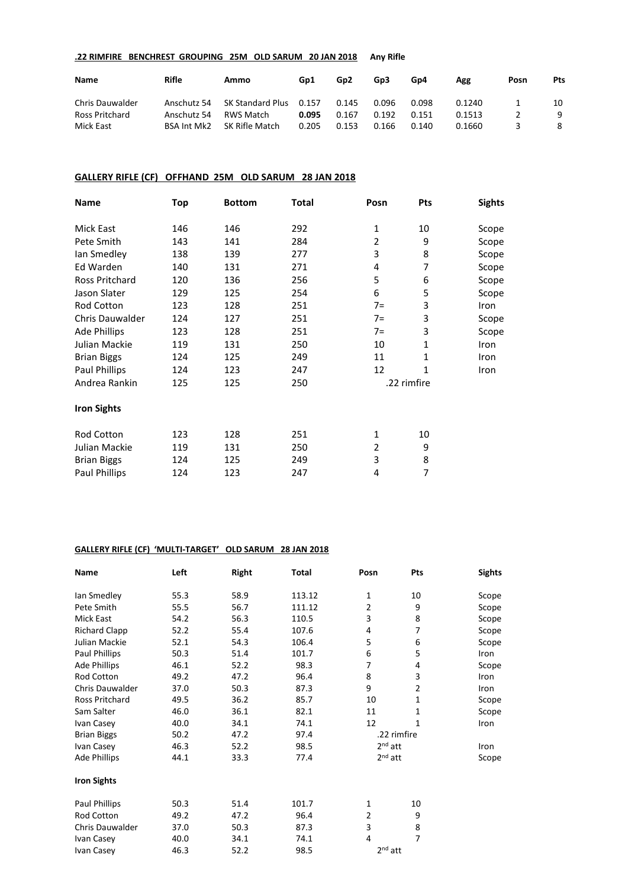### **.22 RIMFIRE BENCHREST GROUPING 25M OLD SARUM 20 JAN 2018 Any Rifle**

| <b>Name</b>            | Rifle              | Ammo             | Gp1   | Gp <sub>2</sub> | Gp3   | Gp4   | Agg    | Posn | <b>Pts</b> |
|------------------------|--------------------|------------------|-------|-----------------|-------|-------|--------|------|------------|
| <b>Chris Dauwalder</b> | Anschutz 54        | SK Standard Plus | 0.157 | 0.145           | 0.096 | 0.098 | 0.1240 |      | 10         |
| Ross Pritchard         | Anschutz 54        | RWS Match        | 0.095 | 0.167           | 0.192 | 0.151 | 0.1513 |      | 9          |
| Mick East              | <b>BSA Int Mk2</b> | SK Rifle Match   | 0.205 | 0.153           | 0.166 | 0.140 | 0.1660 |      | 8          |

### **GALLERY RIFLE (CF) OFFHAND 25M OLD SARUM 28 JAN 2018**

| Name                   | Top<br>Total<br><b>Bottom</b> |     | Posn | Pts            | <b>Sights</b> |       |
|------------------------|-------------------------------|-----|------|----------------|---------------|-------|
| <b>Mick East</b>       | 146                           | 146 | 292  | 1              | 10            | Scope |
| Pete Smith             | 143                           | 141 | 284  | $\overline{2}$ | 9             | Scope |
| lan Smedley            | 138                           | 139 | 277  | 3              | 8             | Scope |
| Ed Warden              | 140                           | 131 | 271  | 4              | 7             | Scope |
| <b>Ross Pritchard</b>  | 120                           | 136 | 256  | 5              | 6             | Scope |
| Jason Slater           | 129                           | 125 | 254  | 6              | 5             | Scope |
| Rod Cotton             | 123                           | 128 | 251  | $7=$           | 3             | Iron  |
| <b>Chris Dauwalder</b> | 124                           | 127 | 251  | $7=$           | 3             | Scope |
| Ade Phillips           | 123                           | 128 | 251  | $7=$           | 3             | Scope |
| Julian Mackie          | 119                           | 131 | 250  | 10             | 1             | Iron  |
| <b>Brian Biggs</b>     | 124                           | 125 | 249  | 11             | $\mathbf{1}$  | Iron  |
| Paul Phillips          | 124                           | 123 | 247  | 12             | 1             | Iron  |
| Andrea Rankin          | 125                           | 125 | 250  |                | .22 rimfire   |       |
| <b>Iron Sights</b>     |                               |     |      |                |               |       |
| <b>Rod Cotton</b>      | 123                           | 128 | 251  | $\mathbf{1}$   | 10            |       |
| Julian Mackie          | 119                           | 131 | 250  | $\overline{2}$ | 9             |       |
| <b>Brian Biggs</b>     | 124                           | 125 | 249  | 3              | 8             |       |
| <b>Paul Phillips</b>   | 124                           | 123 | 247  | 4              | 7             |       |

### **GALLERY RIFLE (CF) 'MULTI-TARGET' OLD SARUM 28 JAN 2018**

| Name                   | Left | <b>Right</b> | Total  | Posn           | Pts          | <b>Sights</b> |
|------------------------|------|--------------|--------|----------------|--------------|---------------|
| lan Smedley            | 55.3 | 58.9         | 113.12 | $\mathbf{1}$   | 10           | Scope         |
| Pete Smith             | 55.5 | 56.7         | 111.12 | 2              | 9            | Scope         |
| Mick East              | 54.2 | 56.3         | 110.5  | 3              | 8            | Scope         |
| <b>Richard Clapp</b>   | 52.2 | 55.4         | 107.6  | 4              | 7            | Scope         |
| Julian Mackie          | 52.1 | 54.3         | 106.4  | 5              | 6            | Scope         |
| <b>Paul Phillips</b>   | 50.3 | 51.4         | 101.7  | 6              | 5            | Iron          |
| <b>Ade Phillips</b>    | 46.1 | 52.2         | 98.3   | 7              | 4            | Scope         |
| Rod Cotton             | 49.2 | 47.2         | 96.4   | 8              | 3            | Iron          |
| <b>Chris Dauwalder</b> | 37.0 | 50.3         | 87.3   | 9              | 2            | Iron          |
| Ross Pritchard         | 49.5 | 36.2         | 85.7   | 10             | $\mathbf{1}$ | Scope         |
| Sam Salter             | 46.0 | 36.1         | 82.1   | 11             | 1            | Scope         |
| Ivan Casey             | 40.0 | 34.1         | 74.1   | 12             | 1            | Iron          |
| <b>Brian Biggs</b>     | 50.2 | 47.2         | 97.4   |                | .22 rimfire  |               |
| Ivan Casey             | 46.3 | 52.2         | 98.5   | $2nd$ att      |              | Iron          |
| Ade Phillips           | 44.1 | 33.3         | 77.4   | $2nd$ att      |              | Scope         |
| <b>Iron Sights</b>     |      |              |        |                |              |               |
| <b>Paul Phillips</b>   | 50.3 | 51.4         | 101.7  | 1              | 10           |               |
| Rod Cotton             | 49.2 | 47.2         | 96.4   | $\overline{2}$ | 9            |               |
| Chris Dauwalder        | 37.0 | 50.3         | 87.3   | 3              | 8            |               |
| Ivan Casey             | 40.0 | 34.1         | 74.1   | 4              | 7            |               |
| Ivan Casey             | 46.3 | 52.2         | 98.5   | $2nd$ att      |              |               |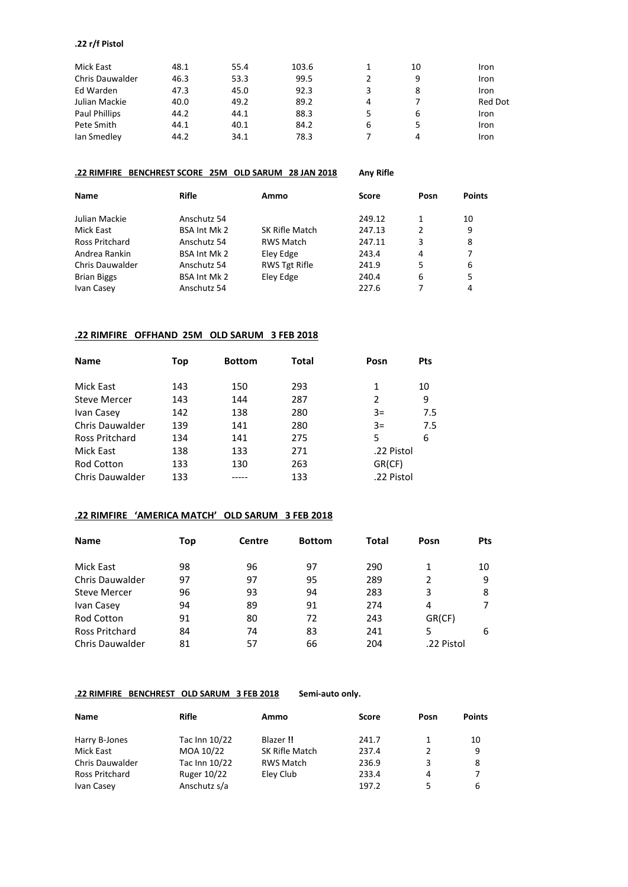#### **.22 r/f Pistol**

| Mick East              | 48.1 | 55.4 | 103.6 |   | 10 | Iron    |
|------------------------|------|------|-------|---|----|---------|
| <b>Chris Dauwalder</b> | 46.3 | 53.3 | 99.5  |   | 9  | Iron    |
| Ed Warden              | 47.3 | 45.0 | 92.3  | 3 |    | Iron    |
| Julian Mackie          | 40.0 | 49.2 | 89.2  | 4 |    | Red Dot |
| Paul Phillips          | 44.2 | 44.1 | 88.3  | 5 | 6  | Iron    |
| Pete Smith             | 44.1 | 40.1 | 84.2  | 6 |    | Iron    |
| Ian Smedley            | 44.2 | 34.1 | 78.3  |   | 4  | Iron    |

#### **.22 RIMFIRE BENCHREST SCORE 25M OLD SARUM 28 JAN 2018 Any Rifle**

**Name Rifle Ammo Score Posn Points** Julian Mackie **Anschutz 54** 249.12 1 10 Mick East **BSA Int Mk 2** SK Rifle Match 247.13 2 9 Ross Pritchard Anschutz 54 RWS Match 247.11 3 8 Andrea Rankin BSA Int Mk 2 Eley Edge 243.4 4 Chris Dauwalder Anschutz 54 RWS Tgt Rifle 241.9 5 6 Brian Biggs BSA Int Mk 2 Eley Edge 240.4 6 5 Ivan Casey **Anschutz 54** 

#### **.22 RIMFIRE OFFHAND 25M OLD SARUM 3 FEB 2018**

| <b>Name</b>            | Top | <b>Bottom</b> | <b>Total</b> | Posn       | <b>Pts</b> |
|------------------------|-----|---------------|--------------|------------|------------|
|                        |     |               |              |            |            |
| Mick East              | 143 | 150           | 293          | 1          | 10         |
| Steve Mercer           | 143 | 144           | 287          | 2          | 9          |
| Ivan Casey             | 142 | 138           | 280          | $3=$       | 7.5        |
| Chris Dauwalder        | 139 | 141           | 280          | $3=$       | 7.5        |
| Ross Pritchard         | 134 | 141           | 275          | 5          | 6          |
| Mick East              | 138 | 133           | 271          | .22 Pistol |            |
| <b>Rod Cotton</b>      | 133 | 130           | 263          | GR(CF)     |            |
| <b>Chris Dauwalder</b> | 133 |               | 133          | .22 Pistol |            |

### **.22 RIMFIRE 'AMERICA MATCH' OLD SARUM 3 FEB 2018**

| Top | Centre | <b>Bottom</b> | Total | Posn       | <b>Pts</b> |
|-----|--------|---------------|-------|------------|------------|
| 98  | 96     | 97            | 290   |            | 10         |
| 97  | 97     | 95            | 289   | 2          | 9          |
| 96  | 93     | 94            | 283   | 3          | 8          |
| 94  | 89     | 91            | 274   | 4          |            |
| 91  | 80     | 72            | 243   | GR(CF)     |            |
| 84  | 74     | 83            | 241   | 5          | 6          |
| 81  | 57     | 66            | 204   | .22 Pistol |            |
|     |        |               |       |            |            |

#### **.22 RIMFIRE BENCHREST OLD SARUM 3 FEB 2018 Semi-auto only.**

| <b>Name</b>            | Rifle         | Ammo             | Score | Posn | <b>Points</b> |
|------------------------|---------------|------------------|-------|------|---------------|
| Harry B-Jones          | Tac Inn 10/22 | Blazer !!        | 241.7 |      | 10            |
| Mick East              | MOA 10/22     | SK Rifle Match   | 237.4 | 2    | 9             |
| <b>Chris Dauwalder</b> | Tac Inn 10/22 | <b>RWS Match</b> | 236.9 | 3    | 8             |
| Ross Pritchard         | Ruger 10/22   | Eley Club        | 233.4 | 4    | 7             |
| Ivan Casey             | Anschutz s/a  |                  | 197.2 | 5    | 6             |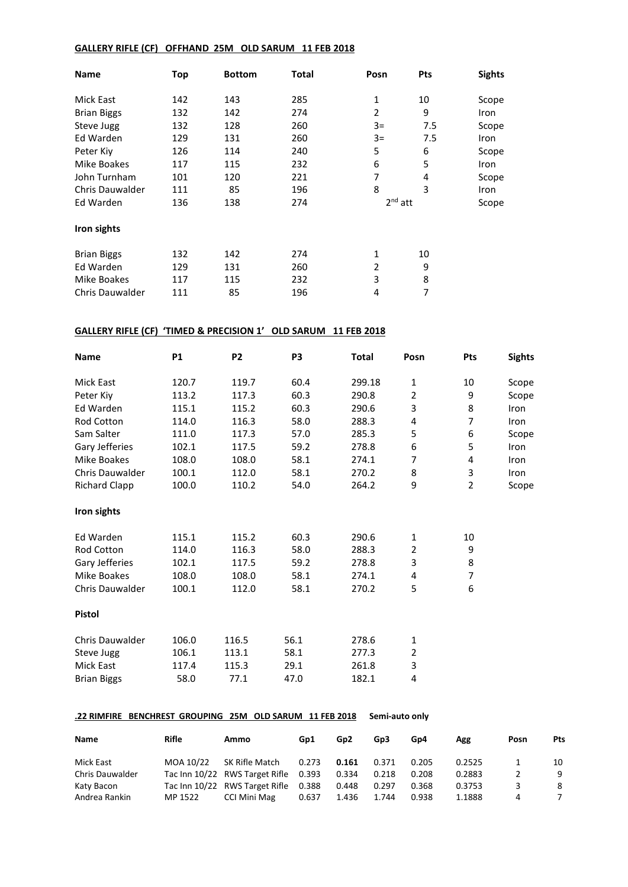### **GALLERY RIFLE (CF) OFFHAND 25M OLD SARUM 11 FEB 2018**

| Name                   | Top | <b>Bottom</b> | Total | Posn           | Pts | <b>Sights</b> |
|------------------------|-----|---------------|-------|----------------|-----|---------------|
| Mick East              | 142 | 143           | 285   | 1              | 10  | Scope         |
| <b>Brian Biggs</b>     | 132 | 142           | 274   | $\overline{2}$ | 9   | Iron          |
| Steve Jugg             | 132 | 128           | 260   | $3=$           | 7.5 | Scope         |
| Ed Warden              | 129 | 131           | 260   | $3=$           | 7.5 | Iron          |
| Peter Kiv              | 126 | 114           | 240   | 5              | 6   | Scope         |
| Mike Boakes            | 117 | 115           | 232   | 6              | 5   | Iron          |
| John Turnham           | 101 | 120           | 221   | 7              | 4   | Scope         |
| <b>Chris Dauwalder</b> | 111 | 85            | 196   | 8              | 3   | Iron          |
| Ed Warden              | 136 | 138           | 274   | $2nd$ att      |     | Scope         |
| Iron sights            |     |               |       |                |     |               |
| <b>Brian Biggs</b>     | 132 | 142           | 274   | 1              | 10  |               |
| Ed Warden              | 129 | 131           | 260   | 2              | 9   |               |
| Mike Boakes            | 117 | 115           | 232   | 3              | 8   |               |
| <b>Chris Dauwalder</b> | 111 | 85            | 196   | 4              | 7   |               |

### **GALLERY RIFLE (CF) 'TIMED & PRECISION 1' OLD SARUM 11 FEB 2018**

| <b>Name</b>            | <b>P1</b> | P <sub>2</sub> | P <sub>3</sub> | <b>Total</b> | Posn           | Pts            | <b>Sights</b> |
|------------------------|-----------|----------------|----------------|--------------|----------------|----------------|---------------|
| Mick East              | 120.7     | 119.7          | 60.4           | 299.18       | $\mathbf{1}$   | 10             | Scope         |
| Peter Kiv              | 113.2     | 117.3          | 60.3           | 290.8        | $\overline{2}$ | 9              | Scope         |
| Ed Warden              | 115.1     | 115.2          | 60.3           | 290.6        | 3              | 8              | Iron          |
| <b>Rod Cotton</b>      | 114.0     | 116.3          | 58.0           | 288.3        | 4              | 7              | Iron          |
| Sam Salter             | 111.0     | 117.3          | 57.0           | 285.3        | 5              | 6              | Scope         |
| Gary Jefferies         | 102.1     | 117.5          | 59.2           | 278.8        | 6              | 5              | Iron          |
| <b>Mike Boakes</b>     | 108.0     | 108.0          | 58.1           | 274.1        | 7              | 4              | Iron          |
| <b>Chris Dauwalder</b> | 100.1     | 112.0          | 58.1           | 270.2        | 8              | 3              | Iron          |
| <b>Richard Clapp</b>   | 100.0     | 110.2          | 54.0           | 264.2        | 9              | $\overline{2}$ | Scope         |
| Iron sights            |           |                |                |              |                |                |               |
| Ed Warden              | 115.1     | 115.2          | 60.3           | 290.6        | $\mathbf{1}$   | 10             |               |
| <b>Rod Cotton</b>      | 114.0     | 116.3          | 58.0           | 288.3        | 2              | 9              |               |
| Gary Jefferies         | 102.1     | 117.5          | 59.2           | 278.8        | 3              | 8              |               |
| Mike Boakes            | 108.0     | 108.0          | 58.1           | 274.1        | 4              | 7              |               |
| Chris Dauwalder        | 100.1     | 112.0          | 58.1           | 270.2        | 5              | 6              |               |
| <b>Pistol</b>          |           |                |                |              |                |                |               |
| <b>Chris Dauwalder</b> | 106.0     | 116.5          | 56.1           | 278.6        | 1              |                |               |
| Steve Jugg             | 106.1     | 113.1          | 58.1           | 277.3        | 2              |                |               |
| <b>Mick East</b>       | 117.4     | 115.3          | 29.1           | 261.8        | 3              |                |               |
| <b>Brian Biggs</b>     | 58.0      | 77.1           | 47.0           | 182.1        | 4              |                |               |

### **.22 RIMFIRE BENCHREST GROUPING 25M OLD SARUM 11 FEB 2018 Semi-auto only**

| Name                   | Rifle     | Ammo                           | Gp1   | Gp <sub>2</sub> | Gp3   | Gp4   | Agg    | Posn | Pts |
|------------------------|-----------|--------------------------------|-------|-----------------|-------|-------|--------|------|-----|
| Mick East              | MOA 10/22 | SK Rifle Match                 | 0.273 | 0.161           | 0.371 | 0.205 | 0.2525 |      | 10  |
| <b>Chris Dauwalder</b> |           | Tac Inn 10/22 RWS Target Rifle | 0.393 | 0.334           | 0.218 | 0.208 | 0.2883 |      | 9   |
| Katy Bacon             |           | Tac Inn 10/22 RWS Target Rifle | 0.388 | 0.448           | 0.297 | 0.368 | 0.3753 | 3    | -8  |
| Andrea Rankin          | MP 1522   | CCI Mini Mag                   | 0.637 | 1.436           | 1.744 | 0.938 | 1.1888 | 4    |     |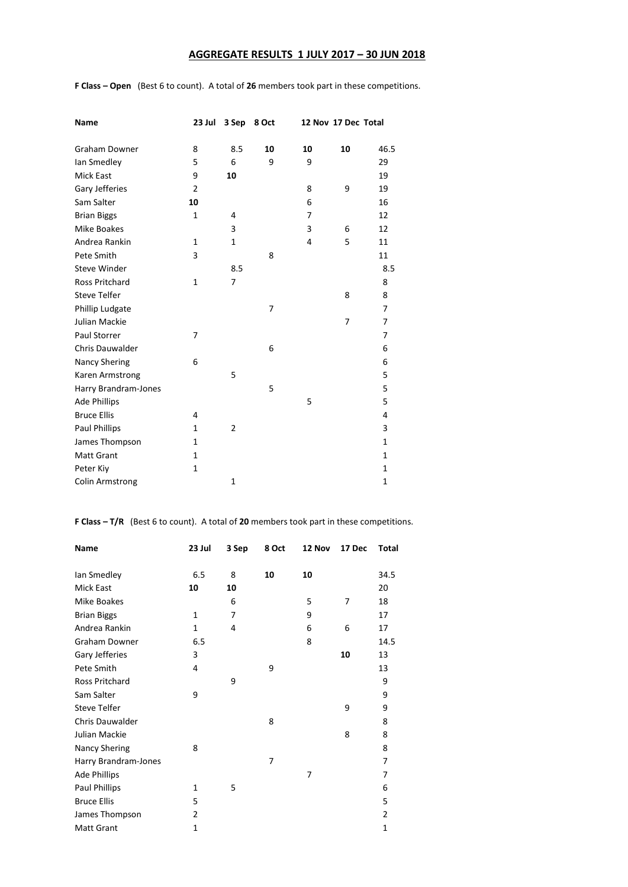## **AGGREGATE RESULTS 1 JULY 2017 – 30 JUN 2018**

| Name                   | 23 Jul         | 3 Sep          | 8 Oct |    | 12 Nov 17 Dec Total |              |
|------------------------|----------------|----------------|-------|----|---------------------|--------------|
| <b>Graham Downer</b>   | 8              | 8.5            | 10    | 10 | 10                  | 46.5         |
| Ian Smedley            | 5              | 6              | 9     | 9  |                     | 29           |
| <b>Mick East</b>       | 9              | 10             |       |    |                     | 19           |
| Gary Jefferies         | $\overline{2}$ |                |       | 8  | 9                   | 19           |
| Sam Salter             | 10             |                |       | 6  |                     | 16           |
| <b>Brian Biggs</b>     | $\mathbf{1}$   | 4              |       | 7  |                     | 12           |
| <b>Mike Boakes</b>     |                | 3              |       | 3  | 6                   | 12           |
| Andrea Rankin          | 1              | 1              |       | 4  | 5                   | 11           |
| Pete Smith             | 3              |                | 8     |    |                     | 11           |
| <b>Steve Winder</b>    |                | 8.5            |       |    |                     | 8.5          |
| <b>Ross Pritchard</b>  | $\mathbf{1}$   | $\overline{7}$ |       |    |                     | 8            |
| <b>Steve Telfer</b>    |                |                |       |    | 8                   | 8            |
| Phillip Ludgate        |                |                | 7     |    |                     | 7            |
| Julian Mackie          |                |                |       |    | $\overline{7}$      | 7            |
| Paul Storrer           | 7              |                |       |    |                     | 7            |
| Chris Dauwalder        |                |                | 6     |    |                     | 6            |
| <b>Nancy Shering</b>   | 6              |                |       |    |                     | 6            |
| Karen Armstrong        |                | 5              |       |    |                     | 5            |
| Harry Brandram-Jones   |                |                | 5     |    |                     | 5            |
| <b>Ade Phillips</b>    |                |                |       | 5  |                     | 5            |
| <b>Bruce Ellis</b>     | 4              |                |       |    |                     | 4            |
| Paul Phillips          | $\mathbf{1}$   | $\overline{2}$ |       |    |                     | 3            |
| James Thompson         | 1              |                |       |    |                     | 1            |
| <b>Matt Grant</b>      | 1              |                |       |    |                     | $\mathbf{1}$ |
| Peter Kiy              | $\mathbf{1}$   |                |       |    |                     | 1            |
| <b>Colin Armstrong</b> |                | 1              |       |    |                     | 1            |

**F Class – Open** (Best 6 to count). A total of **26** members took part in these competitions.

**F Class – T/R** (Best 6 to count). A total of **20** members took part in these competitions.

| <b>Name</b>            | 23 Jul         | 3 Sep | 8 Oct | 12 Nov | 17 Dec | <b>Total</b>   |
|------------------------|----------------|-------|-------|--------|--------|----------------|
|                        |                |       |       |        |        |                |
| lan Smedley            | 6.5            | 8     | 10    | 10     |        | 34.5           |
| <b>Mick East</b>       | 10             | 10    |       |        |        | 20             |
| Mike Boakes            |                | 6     |       | 5      | 7      | 18             |
| <b>Brian Biggs</b>     | $\mathbf{1}$   | 7     |       | 9      |        | 17             |
| Andrea Rankin          | $\mathbf{1}$   | 4     |       | 6      | 6      | 17             |
| <b>Graham Downer</b>   | 6.5            |       |       | 8      |        | 14.5           |
| Gary Jefferies         | 3              |       |       |        | 10     | 13             |
| Pete Smith             | 4              |       | 9     |        |        | 13             |
| <b>Ross Pritchard</b>  |                | 9     |       |        |        | 9              |
| Sam Salter             | 9              |       |       |        |        | 9              |
| <b>Steve Telfer</b>    |                |       |       |        | 9      | 9              |
| <b>Chris Dauwalder</b> |                |       | 8     |        |        | 8              |
| Julian Mackie          |                |       |       |        | 8      | 8              |
| <b>Nancy Shering</b>   | 8              |       |       |        |        | 8              |
| Harry Brandram-Jones   |                |       | 7     |        |        | 7              |
| <b>Ade Phillips</b>    |                |       |       | 7      |        | 7              |
| <b>Paul Phillips</b>   | 1              | 5     |       |        |        | 6              |
| <b>Bruce Ellis</b>     | 5              |       |       |        |        | 5              |
| James Thompson         | $\overline{2}$ |       |       |        |        | $\overline{2}$ |
| <b>Matt Grant</b>      | 1              |       |       |        |        | $\mathbf{1}$   |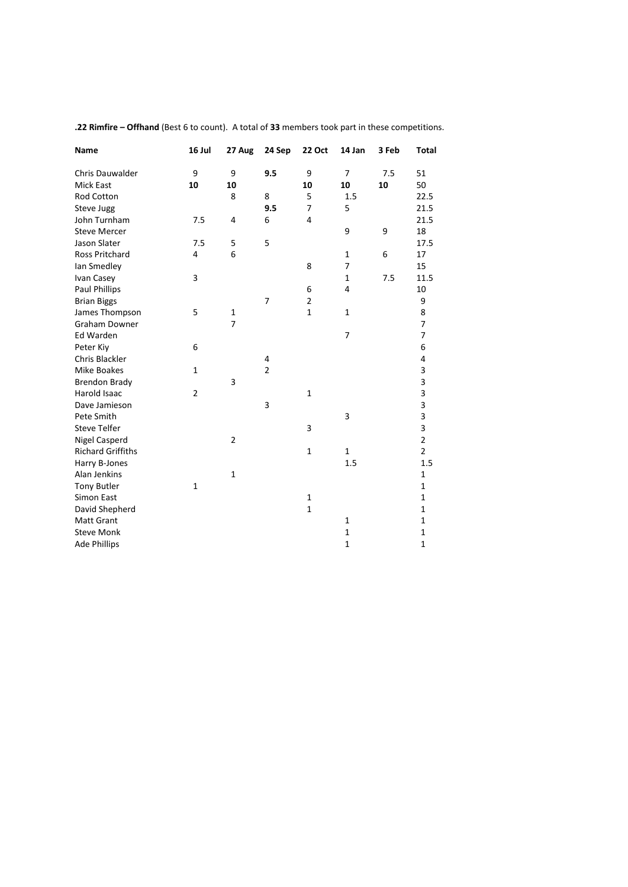| Name                     | 16 Jul         | 27 Aug         | 24 Sep         | 22 Oct                  | 14 Jan         | 3 Feb | <b>Total</b>            |
|--------------------------|----------------|----------------|----------------|-------------------------|----------------|-------|-------------------------|
| <b>Chris Dauwalder</b>   | 9              | 9              | 9.5            | 9                       | $\overline{7}$ | 7.5   | 51                      |
| <b>Mick East</b>         | 10             | 10             |                | 10                      | 10             | 10    | 50                      |
| <b>Rod Cotton</b>        |                | 8              | 8              | 5                       | 1.5            |       | 22.5                    |
| Steve Jugg               |                |                | 9.5            | 7                       | 5              |       | 21.5                    |
| John Turnham             | 7.5            | 4              | 6              | $\overline{4}$          |                |       | 21.5                    |
| <b>Steve Mercer</b>      |                |                |                |                         | 9              | 9     | 18                      |
| Jason Slater             | 7.5            | 5              | 5              |                         |                |       | 17.5                    |
| <b>Ross Pritchard</b>    | 4              | 6              |                |                         | $\mathbf{1}$   | 6     | 17                      |
| lan Smedley              |                |                |                | 8                       | 7              |       | 15                      |
| Ivan Casey               | 3              |                |                |                         | $\mathbf{1}$   | 7.5   | 11.5                    |
| Paul Phillips            |                |                |                | 6                       | 4              |       | 10                      |
| <b>Brian Biggs</b>       |                |                | $\overline{7}$ | $\overline{\mathbf{c}}$ |                |       | 9                       |
| James Thompson           | 5              | $\mathbf{1}$   |                | $\mathbf{1}$            | $\mathbf{1}$   |       | 8                       |
| <b>Graham Downer</b>     |                | $\overline{7}$ |                |                         |                |       | 7                       |
| <b>Ed Warden</b>         |                |                |                |                         | 7              |       | 7                       |
| Peter Kiy                | 6              |                |                |                         |                |       | 6                       |
| <b>Chris Blackler</b>    |                |                | 4              |                         |                |       | 4                       |
| Mike Boakes              | $\mathbf{1}$   |                | $\overline{2}$ |                         |                |       | 3                       |
| <b>Brendon Brady</b>     |                | 3              |                |                         |                |       | 3                       |
| Harold Isaac             | $\overline{2}$ |                |                | $\mathbf 1$             |                |       | 3                       |
| Dave Jamieson            |                |                | 3              |                         |                |       | $\overline{\mathbf{3}}$ |
| Pete Smith               |                |                |                |                         | 3              |       | 3                       |
| <b>Steve Telfer</b>      |                |                |                | 3                       |                |       | 3                       |
| <b>Nigel Casperd</b>     |                | $\overline{2}$ |                |                         |                |       | $\overline{2}$          |
| <b>Richard Griffiths</b> |                |                |                | $\mathbf{1}$            | $\mathbf{1}$   |       | $\overline{2}$          |
| Harry B-Jones            |                |                |                |                         | 1.5            |       | 1.5                     |
| Alan Jenkins             |                | $\mathbf{1}$   |                |                         |                |       | $\mathbf{1}$            |
| <b>Tony Butler</b>       | $\mathbf{1}$   |                |                |                         |                |       | $\mathbf{1}$            |
| Simon East               |                |                |                | $\mathbf{1}$            |                |       | $\mathbf{1}$            |
| David Shepherd           |                |                |                | $\mathbf{1}$            |                |       | $\mathbf 1$             |
| <b>Matt Grant</b>        |                |                |                |                         | $\mathbf{1}$   |       | $\mathbf{1}$            |
| <b>Steve Monk</b>        |                |                |                |                         | $\mathbf 1$    |       | $\mathbf 1$             |
| <b>Ade Phillips</b>      |                |                |                |                         | $\mathbf 1$    |       | $\mathbf{1}$            |

**.22 Rimfire – Offhand** (Best 6 to count). A total of **33** members took part in these competitions.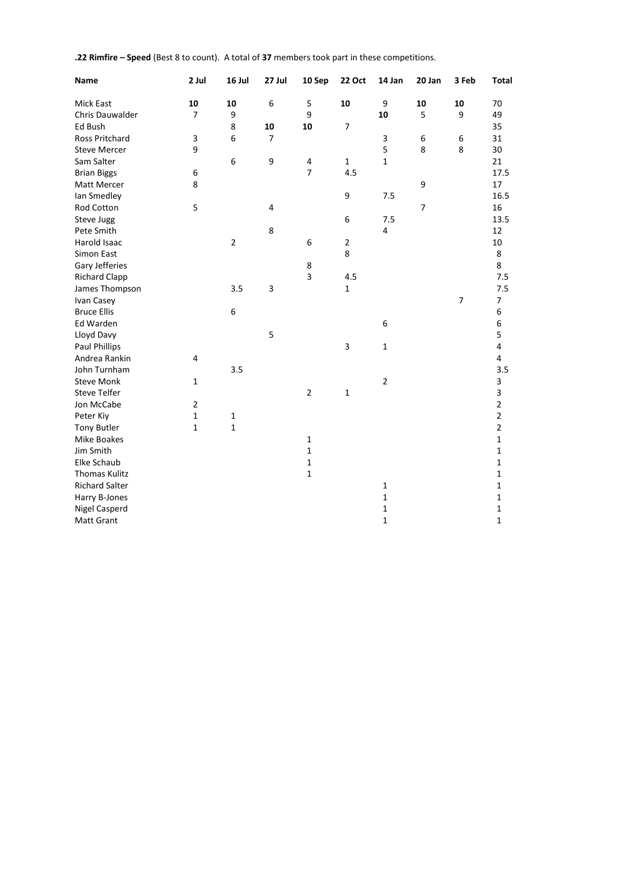|  |  |  |  | .22 Rimfire - Speed (Best 8 to count). A total of 37 members took part in these competitions. |
|--|--|--|--|-----------------------------------------------------------------------------------------------|
|--|--|--|--|-----------------------------------------------------------------------------------------------|

| <b>Name</b>           | 2 Jul          | 16 Jul         | 27 Jul         | 10 Sep         | <b>22 Oct</b> | 14 Jan         | 20 Jan  | 3 Feb          | <b>Total</b>   |
|-----------------------|----------------|----------------|----------------|----------------|---------------|----------------|---------|----------------|----------------|
| <b>Mick East</b>      | 10             | 10             | 6              | 5              | 10            | 9              | 10      | 10             | 70             |
| Chris Dauwalder       | $\overline{7}$ | 9              |                | 9              |               | 10             | 5       | 9              | 49             |
| Ed Bush               |                | 8              | 10             | 10             | 7             |                |         |                | 35             |
| Ross Pritchard        | $\mathsf 3$    | 6              | $\overline{7}$ |                |               | 3              | $\,6\,$ | 6              | 31             |
| <b>Steve Mercer</b>   | 9              |                |                |                |               | 5              | 8       | 8              | 30             |
| Sam Salter            |                | 6              | 9              | 4              | $\mathbf{1}$  | $\mathbf{1}$   |         |                | 21             |
| <b>Brian Biggs</b>    | 6              |                |                | $\overline{7}$ | 4.5           |                |         |                | 17.5           |
| Matt Mercer           | 8              |                |                |                |               |                | 9       |                | 17             |
| Ian Smedley           |                |                |                |                | 9             | 7.5            |         |                | 16.5           |
| Rod Cotton            | 5              |                | $\overline{4}$ |                |               |                | 7       |                | 16             |
| <b>Steve Jugg</b>     |                |                |                |                | 6             | 7.5            |         |                | 13.5           |
| Pete Smith            |                |                | 8              |                |               | $\overline{4}$ |         |                | 12             |
| Harold Isaac          |                | $\overline{2}$ |                | 6              | $\mathbf 2$   |                |         |                | 10             |
| Simon East            |                |                |                |                | 8             |                |         |                | 8              |
| Gary Jefferies        |                |                |                | 8              |               |                |         |                | 8              |
| <b>Richard Clapp</b>  |                |                |                | 3              | 4.5           |                |         |                | $7.5\,$        |
| James Thompson        |                | 3.5            | 3              |                | $\mathbf{1}$  |                |         |                | 7.5            |
| Ivan Casey            |                |                |                |                |               |                |         | $\overline{7}$ | 7              |
| <b>Bruce Ellis</b>    |                | 6              |                |                |               |                |         |                | $\,6\,$        |
| Ed Warden             |                |                |                |                |               | 6              |         |                | 6              |
| Lloyd Davy            |                |                | 5              |                |               |                |         |                | 5              |
| <b>Paul Phillips</b>  |                |                |                |                | 3             | $\mathbf{1}$   |         |                | $\overline{4}$ |
| Andrea Rankin         | 4              |                |                |                |               |                |         |                | 4              |
| John Turnham          |                | 3.5            |                |                |               |                |         |                | 3.5            |
| <b>Steve Monk</b>     | 1              |                |                |                |               | $\overline{2}$ |         |                | 3              |
| <b>Steve Telfer</b>   |                |                |                | $\overline{2}$ | $\mathbf 1$   |                |         |                | 3              |
| Jon McCabe            | $\overline{2}$ |                |                |                |               |                |         |                | $\overline{2}$ |
| Peter Kiy             | $\mathbf{1}$   | $\mathbf{1}$   |                |                |               |                |         |                | $\overline{2}$ |
| <b>Tony Butler</b>    | $\mathbf{1}$   | $\mathbf{1}$   |                |                |               |                |         |                | $\overline{2}$ |
| <b>Mike Boakes</b>    |                |                |                | $\mathbf{1}$   |               |                |         |                | $\mathbf{1}$   |
| Jim Smith             |                |                |                | $\mathbf{1}$   |               |                |         |                | $\mathbf 1$    |
| Elke Schaub           |                |                |                | $\mathbf 1$    |               |                |         |                | $\mathbf 1$    |
| Thomas Kulitz         |                |                |                | $\mathbf{1}$   |               |                |         |                | $\mathbf 1$    |
| <b>Richard Salter</b> |                |                |                |                |               | $\mathbf{1}$   |         |                | 1              |
| Harry B-Jones         |                |                |                |                |               | $\mathbf 1$    |         |                | 1              |
| <b>Nigel Casperd</b>  |                |                |                |                |               | $\mathbf 1$    |         |                | 1              |
| <b>Matt Grant</b>     |                |                |                |                |               | $\mathbf{1}$   |         |                | 1              |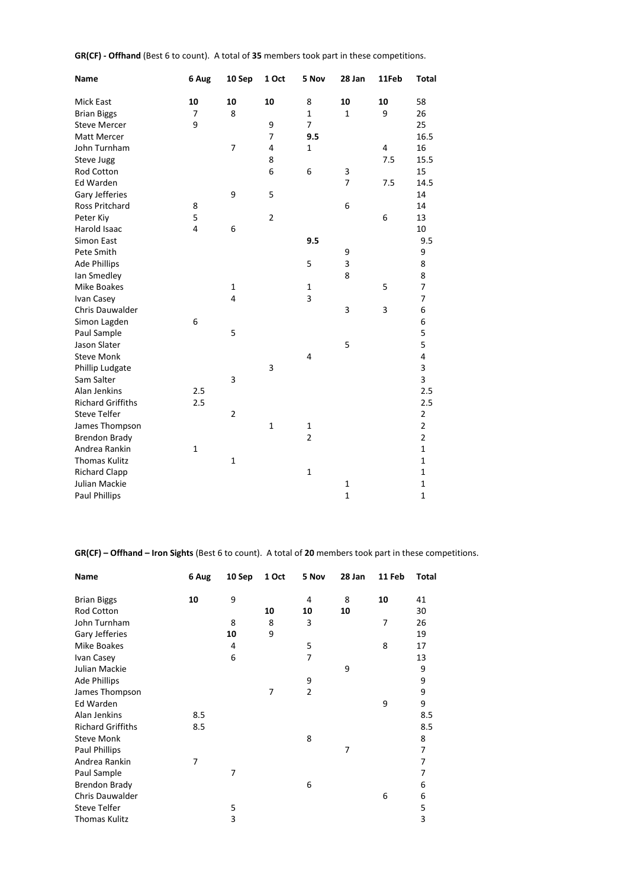| Name                     | 6 Aug        | 10 Sep         | 1 Oct          | 5 Nov          | 28 Jan         | 11Feb | <b>Total</b> |
|--------------------------|--------------|----------------|----------------|----------------|----------------|-------|--------------|
| <b>Mick East</b>         | 10           | 10             | 10             | 8              | 10             | 10    | 58           |
| <b>Brian Biggs</b>       | 7            | 8              |                | 1              | $\mathbf{1}$   | 9     | 26           |
| <b>Steve Mercer</b>      | 9            |                | 9              | 7              |                |       | 25           |
| Matt Mercer              |              |                | 7              | 9.5            |                |       | 16.5         |
| John Turnham             |              | 7              | 4              | $\mathbf{1}$   |                | 4     | 16           |
| Steve Jugg               |              |                | 8              |                |                | 7.5   | 15.5         |
| <b>Rod Cotton</b>        |              |                | 6              | 6              | 3              |       | 15           |
| <b>Ed Warden</b>         |              |                |                |                | $\overline{7}$ | 7.5   | 14.5         |
| Gary Jefferies           |              | 9              | 5              |                |                |       | 14           |
| <b>Ross Pritchard</b>    | 8            |                |                |                | 6              |       | 14           |
| Peter Kiy                | 5            |                | $\overline{2}$ |                |                | 6     | 13           |
| Harold Isaac             | 4            | 6              |                |                |                |       | 10           |
| <b>Simon East</b>        |              |                |                | 9.5            |                |       | 9.5          |
| Pete Smith               |              |                |                |                | 9              |       | 9            |
| <b>Ade Phillips</b>      |              |                |                | 5              | 3              |       | 8            |
| Ian Smedley              |              |                |                |                | 8              |       | 8            |
| Mike Boakes              |              | $\mathbf{1}$   |                | $\mathbf{1}$   |                | 5     | 7            |
| Ivan Casey               |              | $\overline{4}$ |                | 3              |                |       | 7            |
| Chris Dauwalder          |              |                |                |                | 3              | 3     | 6            |
| Simon Lagden             | 6            |                |                |                |                |       | 6            |
| Paul Sample              |              | 5              |                |                |                |       | 5            |
| Jason Slater             |              |                |                |                | 5              |       | 5            |
| <b>Steve Monk</b>        |              |                |                | $\overline{4}$ |                |       | 4            |
| Phillip Ludgate          |              |                | 3              |                |                |       | 3            |
| Sam Salter               |              | 3              |                |                |                |       | 3            |
| Alan Jenkins             | 2.5          |                |                |                |                |       | 2.5          |
| <b>Richard Griffiths</b> | 2.5          |                |                |                |                |       | 2.5          |
| <b>Steve Telfer</b>      |              | $\overline{2}$ |                |                |                |       | 2            |
| James Thompson           |              |                | $\mathbf 1$    | $\mathbf 1$    |                |       | $\mathbf 2$  |
| <b>Brendon Brady</b>     |              |                |                | $\overline{2}$ |                |       | $\mathbf 2$  |
| Andrea Rankin            | $\mathbf{1}$ |                |                |                |                |       | $\mathbf 1$  |
| <b>Thomas Kulitz</b>     |              | $\mathbf{1}$   |                |                |                |       | $\mathbf 1$  |
| <b>Richard Clapp</b>     |              |                |                | $\mathbf 1$    |                |       | $\mathbf 1$  |
| Julian Mackie            |              |                |                |                | $\mathbf{1}$   |       | $\mathbf 1$  |
| <b>Paul Phillips</b>     |              |                |                |                | $\mathbf 1$    |       | $\mathbf{1}$ |

**GR(CF) - Offhand** (Best 6 to count). A total of **35** members took part in these competitions.

**GR(CF) – Offhand – Iron Sights** (Best 6 to count). A total of **20** members took part in these competitions.

| Name                     | 6 Aug | 10 Sep | 1 Oct | 5 Nov          | 28 Jan | 11 Feb | Total          |
|--------------------------|-------|--------|-------|----------------|--------|--------|----------------|
| <b>Brian Biggs</b>       | 10    | 9      |       | 4              | 8      | 10     | 41             |
| Rod Cotton               |       |        | 10    | 10             | 10     |        | 30             |
| John Turnham             |       | 8      | 8     | 3              |        | 7      | 26             |
| Gary Jefferies           |       | 10     | 9     |                |        |        | 19             |
| <b>Mike Boakes</b>       |       | 4      |       | 5              |        | 8      | 17             |
| Ivan Casey               |       | 6      |       | 7              |        |        | 13             |
| Julian Mackie            |       |        |       |                | 9      |        | 9              |
| Ade Phillips             |       |        |       | 9              |        |        | 9              |
| James Thompson           |       |        | 7     | $\overline{2}$ |        |        | 9              |
| Ed Warden                |       |        |       |                |        | 9      | 9              |
| Alan Jenkins             | 8.5   |        |       |                |        |        | 8.5            |
| <b>Richard Griffiths</b> | 8.5   |        |       |                |        |        | 8.5            |
| <b>Steve Monk</b>        |       |        |       | 8              |        |        | 8              |
| <b>Paul Phillips</b>     |       |        |       |                | 7      |        | $\overline{7}$ |
| Andrea Rankin            | 7     |        |       |                |        |        | 7              |
| Paul Sample              |       | 7      |       |                |        |        | 7              |
| <b>Brendon Brady</b>     |       |        |       | 6              |        |        | 6              |
| Chris Dauwalder          |       |        |       |                |        | 6      | 6              |
| <b>Steve Telfer</b>      |       | 5      |       |                |        |        | 5              |
| <b>Thomas Kulitz</b>     |       | 3      |       |                |        |        | 3              |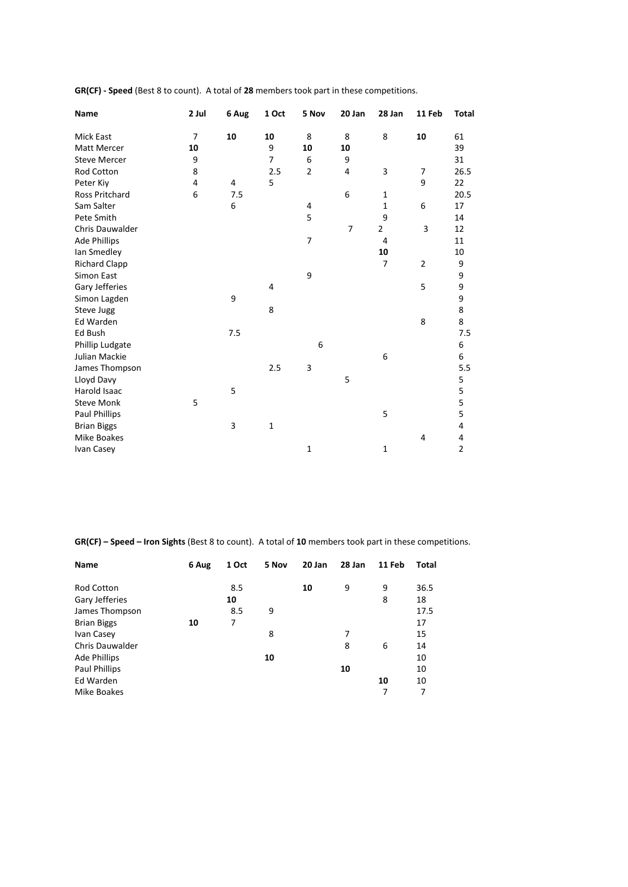| Name                   | 2 Jul          | 6 Aug | 1 Oct        | 5 Nov          | 20 Jan         | 28 Jan         | 11 Feb         | <b>Total</b>   |
|------------------------|----------------|-------|--------------|----------------|----------------|----------------|----------------|----------------|
| Mick East              | $\overline{7}$ | 10    | 10           | 8              | 8              | 8              | 10             | 61             |
| Matt Mercer            | 10             |       | 9            | 10             | 10             |                |                | 39             |
| <b>Steve Mercer</b>    | 9              |       | 7            | 6              | 9              |                |                | 31             |
| Rod Cotton             | 8              |       | 2.5          | $\overline{2}$ | 4              | 3              | $\overline{7}$ | 26.5           |
| Peter Kiy              | 4              | 4     | 5            |                |                |                | 9              | 22             |
| Ross Pritchard         | 6              | 7.5   |              |                | 6              | $\mathbf{1}$   |                | 20.5           |
| Sam Salter             |                | 6     |              | 4              |                | $\mathbf{1}$   | 6              | 17             |
| Pete Smith             |                |       |              | 5              |                | 9              |                | 14             |
| <b>Chris Dauwalder</b> |                |       |              |                | $\overline{7}$ | $\overline{2}$ | 3              | 12             |
| <b>Ade Phillips</b>    |                |       |              | 7              |                | 4              |                | 11             |
| Ian Smedley            |                |       |              |                |                | 10             |                | 10             |
| <b>Richard Clapp</b>   |                |       |              |                |                | $\overline{7}$ | $\overline{2}$ | 9              |
| Simon East             |                |       |              | 9              |                |                |                | 9              |
| Gary Jefferies         |                |       | 4            |                |                |                | 5              | 9              |
| Simon Lagden           |                | 9     |              |                |                |                |                | 9              |
| Steve Jugg             |                |       | 8            |                |                |                |                | 8              |
| Ed Warden              |                |       |              |                |                |                | 8              | 8              |
| Ed Bush                |                | 7.5   |              |                |                |                |                | 7.5            |
| Phillip Ludgate        |                |       |              | 6              |                |                |                | 6              |
| Julian Mackie          |                |       |              |                |                | 6              |                | 6              |
| James Thompson         |                |       | 2.5          | 3              |                |                |                | 5.5            |
| Lloyd Davy             |                |       |              |                | 5              |                |                | 5              |
| Harold Isaac           |                | 5     |              |                |                |                |                | 5              |
| <b>Steve Monk</b>      | 5              |       |              |                |                |                |                | 5              |
| <b>Paul Phillips</b>   |                |       |              |                |                | 5              |                | 5              |
| <b>Brian Biggs</b>     |                | 3     | $\mathbf{1}$ |                |                |                |                | 4              |
| <b>Mike Boakes</b>     |                |       |              |                |                |                | 4              | 4              |
| Ivan Casey             |                |       |              | $\mathbf{1}$   |                | $\mathbf{1}$   |                | $\overline{2}$ |

**GR(CF) - Speed** (Best 8 to count). A total of **28** members took part in these competitions.

**GR(CF) – Speed – Iron Sights** (Best 8 to count). A total of **10** members took part in these competitions.

| <b>Name</b>            | 6 Aug | 1 Oct | 5 Nov | 20 Jan | 28 Jan | 11 Feb | <b>Total</b> |
|------------------------|-------|-------|-------|--------|--------|--------|--------------|
| <b>Rod Cotton</b>      |       | 8.5   |       | 10     | 9      | 9      | 36.5         |
| Gary Jefferies         |       | 10    |       |        |        | 8      | 18           |
| James Thompson         |       | 8.5   | 9     |        |        |        | 17.5         |
| <b>Brian Biggs</b>     | 10    | 7     |       |        |        |        | 17           |
| Ivan Casey             |       |       | 8     |        | 7      |        | 15           |
| <b>Chris Dauwalder</b> |       |       |       |        | 8      | 6      | 14           |
| Ade Phillips           |       |       | 10    |        |        |        | 10           |
| Paul Phillips          |       |       |       |        | 10     |        | 10           |
| Ed Warden              |       |       |       |        |        | 10     | 10           |
| Mike Boakes            |       |       |       |        |        | 7      | 7            |